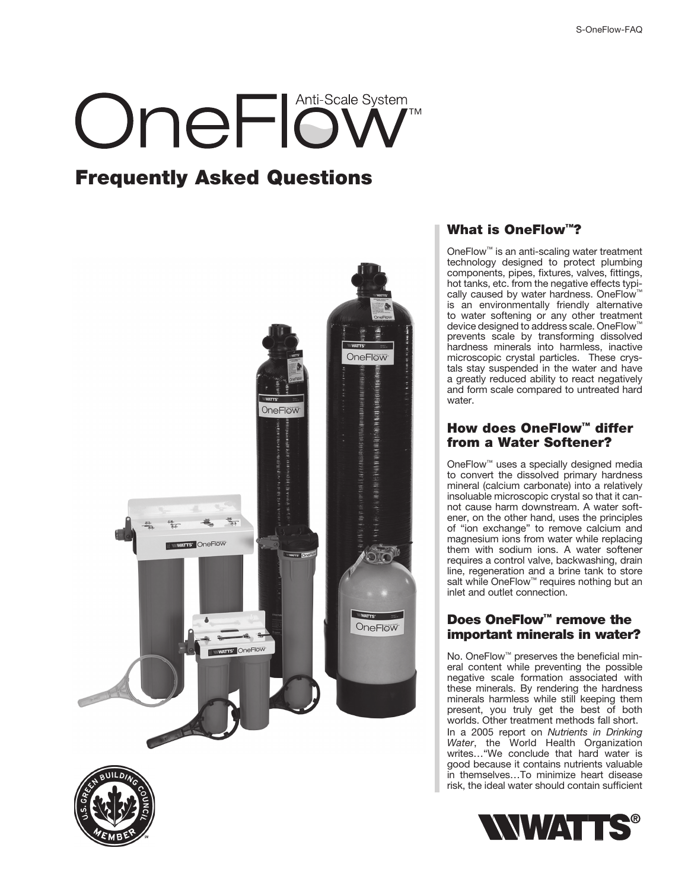# OneFlöw

### **Frequently Asked Questions**



#### **What is OneFlow™?**

OneFlow™ is an anti-scaling water treatment technology designed to protect plumbing components, pipes, fixtures, valves, fittings, hot tanks, etc. from the negative effects typically caused by water hardness. OneFlow™ is an environmentally friendly alternative to water softening or any other treatment device designed to address scale. OneFlow™ prevents scale by transforming dissolved hardness minerals into harmless, inactive microscopic crystal particles. These crystals stay suspended in the water and have a greatly reduced ability to react negatively and form scale compared to untreated hard water.

#### **How does OneFlow™ differ from a Water Softener?**

OneFlow™ uses a specially designed media to convert the dissolved primary hardness mineral (calcium carbonate) into a relatively insoluable microscopic crystal so that it cannot cause harm downstream. A water softener, on the other hand, uses the principles of "ion exchange" to remove calcium and magnesium ions from water while replacing them with sodium ions. A water softener requires a control valve, backwashing, drain line, regeneration and a brine tank to store salt while OneFlow™ requires nothing but an inlet and outlet connection.

#### **Does OneFlow™ remove the important minerals in water?**

No. OneFlow<sup>™</sup> preserves the beneficial mineral content while preventing the possible negative scale formation associated with these minerals. By rendering the hardness minerals harmless while still keeping them present, you truly get the best of both worlds. Other treatment methods fall short. In a 2005 report on Nutrients in Drinking Water, the World Health Organization writes…"We conclude that hard water is good because it contains nutrients valuable in themselves…To minimize heart disease risk, the ideal water should contain sufficient